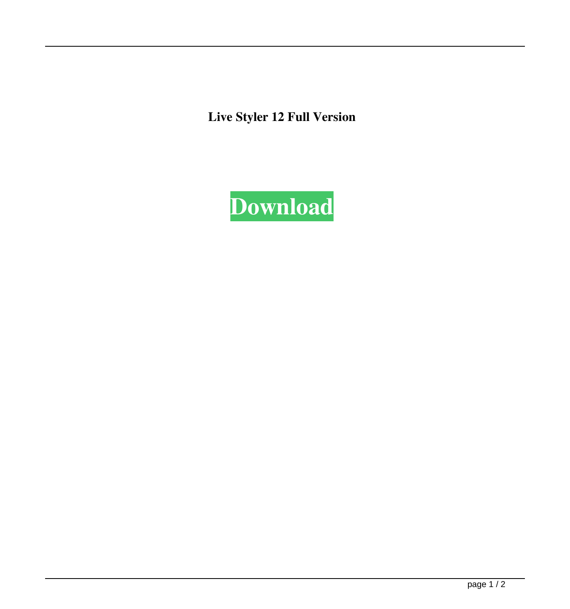**Live Styler 12 Full Version**